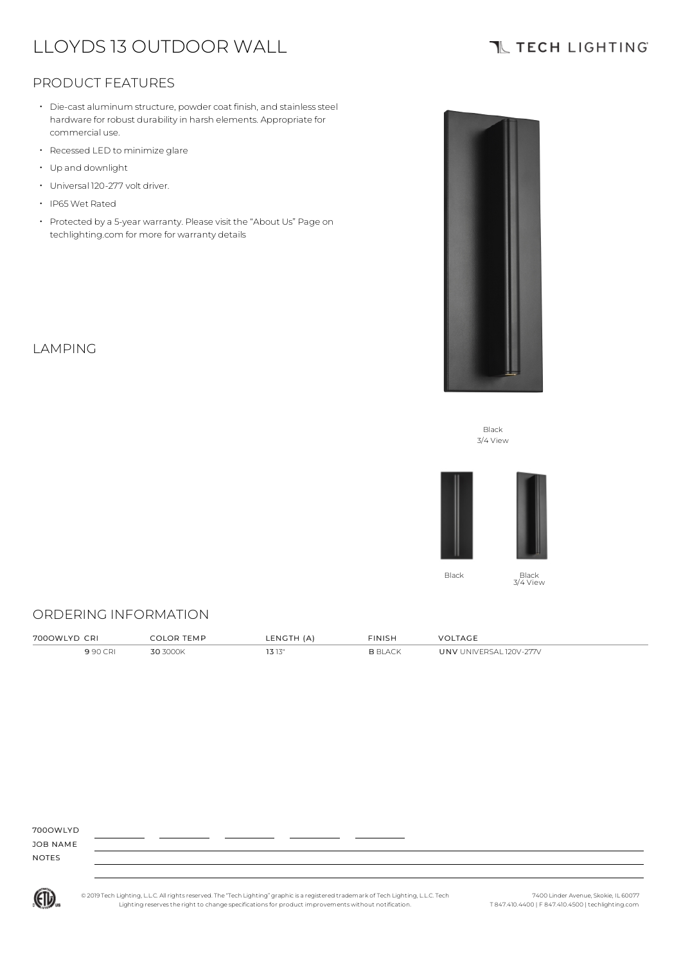# LLOYDS 13 OUTDOOR WALL

## **TL TECH LIGHTING**

### PRODUCT FEATURES

- Die-cast aluminum structure, powder coat finish, and stainless steel hardware for robust durabilityin harsh elements. Appropriate for commercial use.
- Recessed LED to minimize glare
- Up and downlight
- Universal 120-277 volt driver.
- IP65Wet Rated
- Protected by a 5-year warranty. Please visit the "About Us" Page on techlighting.com for more for warranty details

### LAMPING



Black 3/4 View



Black Black 3/4 View

#### ORDERING INFORMATION

| 7000M1<br>$\cap$ D <sub>1</sub> | ·M P | FN (<br>the contract of the contract of the contract of the contract of the contract of | FNNIS<br>the contract of the contract of the contract of | the contract of the contract of the contract of the contract of the contract of |
|---------------------------------|------|-----------------------------------------------------------------------------------------|----------------------------------------------------------|---------------------------------------------------------------------------------|
|                                 | NUUK | 3 13"                                                                                   | ום כ                                                     | 777V<br>コウハルニン<br>INV<br>. NIN/LL                                               |

700OWLYD

JOB NAME NOTES



© 2019 Tech Lighting, L.L.C. All rightsreserved. The "Tech Lighting" graphicis a registered trademark of Tech Lighting, L.L.C. Tech Lighting reservesthe right to change specificationsfor product improvements without notification.

7400 Linder Avenue, Skokie, IL 60077 T 847.410.4400 | F 847.410.4500 | techlighting.com